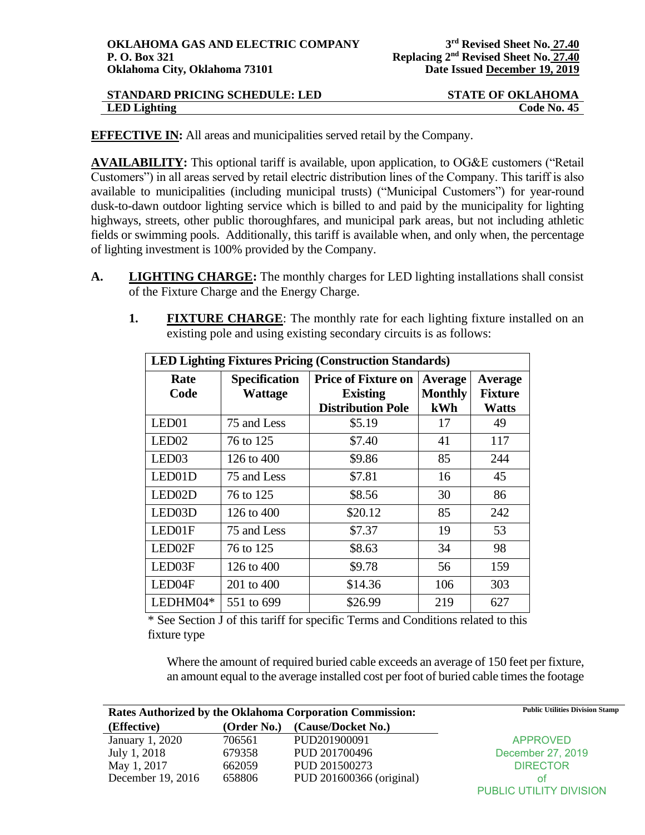| <b>STANDARD PRICING SCHEDULE: LED</b> | <b>STATE OF OKLAHOMA</b> |
|---------------------------------------|--------------------------|
| LED Lighting                          | Code No. 45              |

**EFFECTIVE IN:** All areas and municipalities served retail by the Company.

**AVAILABILITY:** This optional tariff is available, upon application, to OG&E customers ("Retail Customers") in all areas served by retail electric distribution lines of the Company. This tariff is also available to municipalities (including municipal trusts) ("Municipal Customers") for year-round dusk-to-dawn outdoor lighting service which is billed to and paid by the municipality for lighting highways, streets, other public thoroughfares, and municipal park areas, but not including athletic fields or swimming pools. Additionally, this tariff is available when, and only when, the percentage of lighting investment is 100% provided by the Company.

- **A. LIGHTING CHARGE:** The monthly charges for LED lighting installations shall consist of the Fixture Charge and the Energy Charge.
	- **1. FIXTURE CHARGE:** The monthly rate for each lighting fixture installed on an existing pole and using existing secondary circuits is as follows:

| <b>LED Lighting Fixtures Pricing (Construction Standards)</b> |                                        |                                                                           |                                  |                                                  |
|---------------------------------------------------------------|----------------------------------------|---------------------------------------------------------------------------|----------------------------------|--------------------------------------------------|
| Rate<br>Code                                                  | <b>Specification</b><br><b>Wattage</b> | <b>Price of Fixture on</b><br><b>Existing</b><br><b>Distribution Pole</b> | Average<br><b>Monthly</b><br>kWh | <b>Average</b><br><b>Fixture</b><br><b>Watts</b> |
| LED01                                                         | 75 and Less                            | \$5.19                                                                    | 17                               | 49                                               |
| LED <sub>02</sub>                                             | 76 to 125                              | \$7.40                                                                    | 41                               | 117                                              |
| LED <sub>03</sub>                                             | 126 to 400                             | \$9.86                                                                    | 85                               | 244                                              |
| LED01D                                                        | 75 and Less                            | \$7.81                                                                    | 16                               | 45                                               |
| LED <sub>02</sub> D                                           | 76 to 125                              | \$8.56                                                                    | 30                               | 86                                               |
| LED03D                                                        | 126 to 400                             | \$20.12                                                                   | 85                               | 242                                              |
| LED01F                                                        | 75 and Less                            | \$7.37                                                                    | 19                               | 53                                               |
| LED02F                                                        | 76 to 125                              | \$8.63                                                                    | 34                               | 98                                               |
| LED03F                                                        | 126 to 400                             | \$9.78                                                                    | 56                               | 159                                              |
| LED04F                                                        | 201 to 400                             | \$14.36                                                                   | 106                              | 303                                              |
| LEDHM04*                                                      | 551 to 699                             | \$26.99                                                                   | 219                              | 627                                              |

\* See Section J of this tariff for specific Terms and Conditions related to this fixture type

Where the amount of required buried cable exceeds an average of 150 feet per fixture, an amount equal to the average installed cost per foot of buried cable times the footage

| <b>Rates Authorized by the Oklahoma Corporation Commission:</b> |             |                          | <b>Public Utilities Division Stamp</b> |
|-----------------------------------------------------------------|-------------|--------------------------|----------------------------------------|
| (Effective)                                                     | (Order No.) | (Cause/Docket No.)       |                                        |
| January 1, 2020                                                 | 706561      | PUD201900091             | <b>APPROVED</b>                        |
| July 1, 2018                                                    | 679358      | PUD 201700496            | December 27, 2019                      |
| May 1, 2017                                                     | 662059      | PUD 201500273            | <b>DIRECTOR</b>                        |
| December 19, 2016                                               | 658806      | PUD 201600366 (original) | ΩŤ                                     |
|                                                                 |             |                          | PUBLIC UTILITY DIVISION                |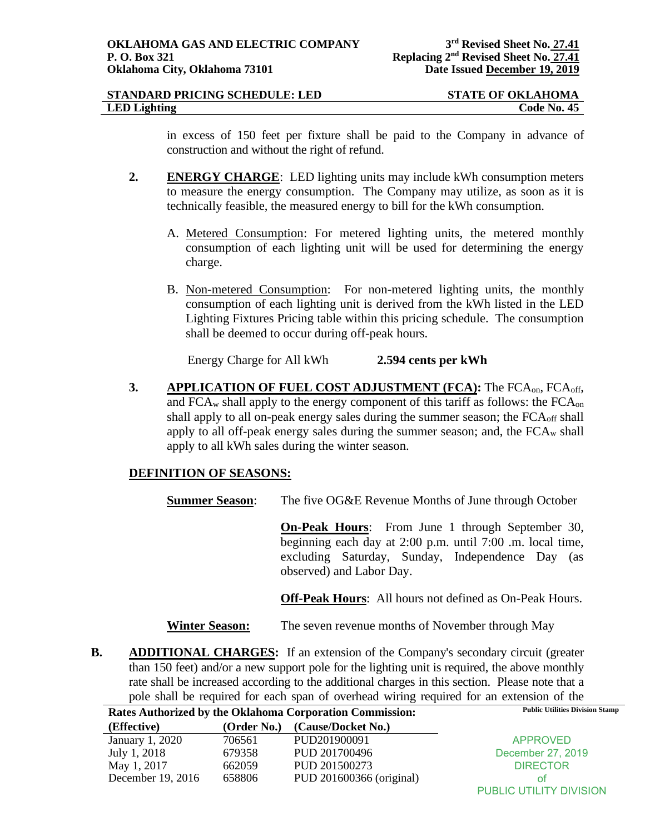| STANDARD PRICING SCHEDULE: LED | <b>STATE OF OKLAHOMA</b> |
|--------------------------------|--------------------------|
| <b>LED</b> Lighting            | Code No. 45              |

in excess of 150 feet per fixture shall be paid to the Company in advance of construction and without the right of refund.

- **2. ENERGY CHARGE**: LED lighting units may include kWh consumption meters to measure the energy consumption. The Company may utilize, as soon as it is technically feasible, the measured energy to bill for the kWh consumption.
	- A. Metered Consumption: For metered lighting units, the metered monthly consumption of each lighting unit will be used for determining the energy charge.
	- B. Non-metered Consumption: For non-metered lighting units, the monthly consumption of each lighting unit is derived from the kWh listed in the LED Lighting Fixtures Pricing table within this pricing schedule. The consumption shall be deemed to occur during off-peak hours.

Energy Charge for All kWh **2.594 cents per kWh**

**3. APPLICATION OF FUEL COST ADJUSTMENT (FCA):** The FCAon, FCAoff, and  $FCA_w$  shall apply to the energy component of this tariff as follows: the  $FCA_{on}$ shall apply to all on-peak energy sales during the summer season; the FCA<sub>off</sub> shall apply to all off-peak energy sales during the summer season; and, the  $FCA_w$  shall apply to all kWh sales during the winter season.

## **DEFINITION OF SEASONS:**

**Summer Season:** The five OG&E Revenue Months of June through October

**On-Peak Hours**: From June 1 through September 30, beginning each day at 2:00 p.m. until 7:00 .m. local time, excluding Saturday, Sunday, Independence Day (as observed) and Labor Day.

**Off-Peak Hours**: All hours not defined as On-Peak Hours.

**Winter Season:** The seven revenue months of November through May

**B. ADDITIONAL CHARGES:** If an extension of the Company's secondary circuit (greater than 150 feet) and/or a new support pole for the lighting unit is required, the above monthly rate shall be increased according to the additional charges in this section. Please note that a pole shall be required for each span of overhead wiring required for an extension of the

|                   |             | Rates Authorized by the Oklahoma Corporation Commission: | <b>Public Utilities Division Stamp</b> |
|-------------------|-------------|----------------------------------------------------------|----------------------------------------|
| (Effective)       | (Order No.) | (Cause/Docket No.)                                       |                                        |
| January 1, 2020   | 706561      | PUD201900091                                             | <b>APPROVED</b>                        |
| July 1, 2018      | 679358      | PUD 201700496                                            | December 27, 2019                      |
| May 1, 2017       | 662059      | PUD 201500273                                            | <b>DIRECTOR</b>                        |
| December 19, 2016 | 658806      | PUD 201600366 (original)                                 | Ωt                                     |
|                   |             |                                                          | PUBLIC UTILITY DIVISION                |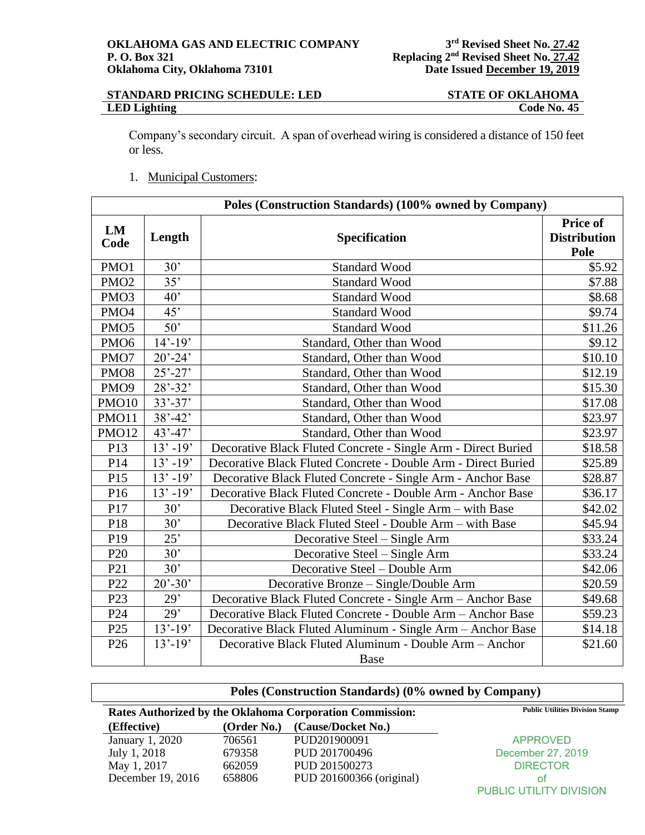## **STANDARD PRICING SCHEDULE: LED STATE OF OKLAHOMA**<br>LED Lighting Code No. 45 **LED Lighting**

Company's secondary circuit. A span of overhead wiring is considered a distance of 150 feet or less.

1. Municipal Customers:

| Poles (Construction Standards) (100% owned by Company) |             |                                                                        |                                         |  |
|--------------------------------------------------------|-------------|------------------------------------------------------------------------|-----------------------------------------|--|
| LM<br>Code                                             | Length      | Specification                                                          | Price of<br><b>Distribution</b><br>Pole |  |
| PMO1                                                   | 30'         | <b>Standard Wood</b>                                                   | \$5.92                                  |  |
| PMO <sub>2</sub>                                       | 35'         | <b>Standard Wood</b>                                                   | \$7.88                                  |  |
| PMO <sub>3</sub>                                       | 40'         | <b>Standard Wood</b>                                                   | \$8.68                                  |  |
| PMO <sub>4</sub>                                       | 45'         | <b>Standard Wood</b>                                                   | \$9.74                                  |  |
| PMO <sub>5</sub>                                       | 50'         | <b>Standard Wood</b>                                                   | \$11.26                                 |  |
| PMO <sub>6</sub>                                       | $14' - 19'$ | Standard, Other than Wood                                              | \$9.12                                  |  |
| PMO7                                                   | $20' - 24'$ | Standard, Other than Wood                                              | \$10.10                                 |  |
| PMO <sub>8</sub>                                       | $25' - 27'$ | Standard, Other than Wood                                              | \$12.19                                 |  |
| PMO <sub>9</sub>                                       | $28' - 32'$ | Standard, Other than Wood                                              | \$15.30                                 |  |
| <b>PMO10</b>                                           | $33' - 37'$ | Standard, Other than Wood                                              | \$17.08                                 |  |
| <b>PMO11</b>                                           | $38' - 42'$ | Standard, Other than Wood                                              | \$23.97                                 |  |
| <b>PMO12</b>                                           | $43' - 47'$ | Standard, Other than Wood<br>\$23.97                                   |                                         |  |
| P13                                                    | $13' - 19'$ | Decorative Black Fluted Concrete - Single Arm - Direct Buried          | \$18.58                                 |  |
| P14                                                    | $13' - 19'$ | Decorative Black Fluted Concrete - Double Arm - Direct Buried          | \$25.89                                 |  |
| P15                                                    | $13' - 19'$ | Decorative Black Fluted Concrete - Single Arm - Anchor Base            | \$28.87                                 |  |
| P16                                                    | $13' - 19'$ | Decorative Black Fluted Concrete - Double Arm - Anchor Base<br>\$36.17 |                                         |  |
| P17                                                    | 30'         | Decorative Black Fluted Steel - Single Arm – with Base                 | \$42.02                                 |  |
| P18                                                    | 30'         | Decorative Black Fluted Steel - Double Arm - with Base                 | \$45.94                                 |  |
| P <sub>19</sub>                                        | 25'         | Decorative Steel - Single Arm                                          | \$33.24                                 |  |
| P <sub>20</sub>                                        | 30'         | Decorative Steel – Single Arm                                          | \$33.24                                 |  |
| P <sub>21</sub>                                        | 30'         | Decorative Steel - Double Arm<br>\$42.06                               |                                         |  |
| P22                                                    | $20' - 30'$ | Decorative Bronze – Single/Double Arm<br>\$20.59                       |                                         |  |
| P <sub>23</sub>                                        | 29'         | \$49.68<br>Decorative Black Fluted Concrete - Single Arm - Anchor Base |                                         |  |
| P24                                                    | 29'         | Decorative Black Fluted Concrete - Double Arm - Anchor Base<br>\$59.23 |                                         |  |
| P <sub>25</sub>                                        | $13' - 19'$ | Decorative Black Fluted Aluminum - Single Arm - Anchor Base            | \$14.18                                 |  |
| P <sub>26</sub>                                        | $13' - 19'$ | Decorative Black Fluted Aluminum - Double Arm - Anchor<br>\$21.60      |                                         |  |
|                                                        |             | Base                                                                   |                                         |  |

|                   |             | Poles (Construction Standards) (0% owned by Company)            |                                        |
|-------------------|-------------|-----------------------------------------------------------------|----------------------------------------|
|                   |             | <b>Rates Authorized by the Oklahoma Corporation Commission:</b> | <b>Public Utilities Division Stamp</b> |
| (Effective)       | (Order No.) | (Cause/Docket No.)                                              |                                        |
| January 1, 2020   | 706561      | PUD201900091                                                    | <b>APPROVED</b>                        |
| July 1, 2018      | 679358      | PUD 201700496                                                   | December 27, 2019                      |
| May 1, 2017       | 662059      | PUD 201500273                                                   | <b>DIRECTOR</b>                        |
| December 19, 2016 | 658806      | PUD 201600366 (original)                                        | ot                                     |
|                   |             |                                                                 | PUBLIC UTILITY DIVISION                |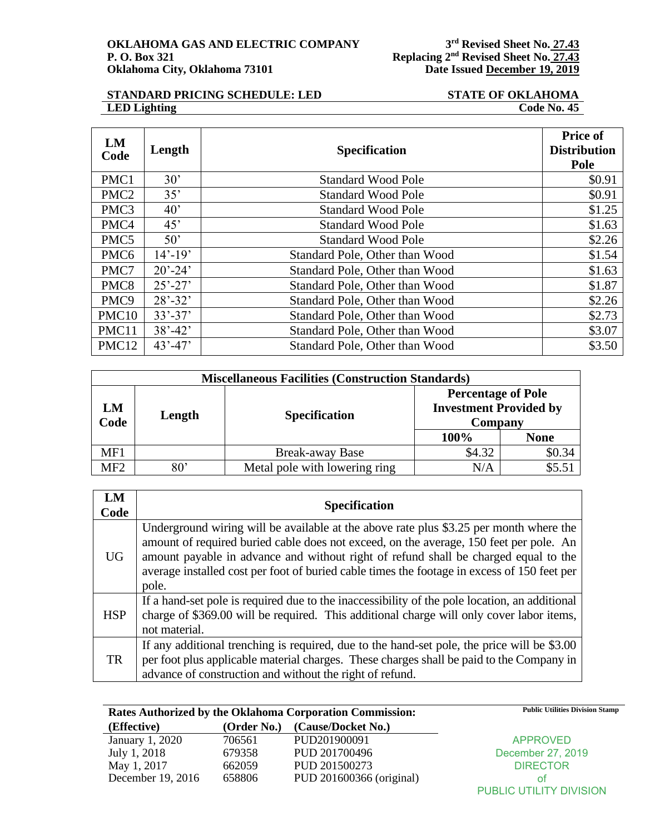## **STANDARD PRICING SCHEDULE: LED**<br> **STATE OF OKLAHOMA**<br> **Code No. 45 LED Lighting**

| LM<br>Code        | Length       | <b>Specification</b>                     | <b>Price of</b><br><b>Distribution</b><br>Pole |  |
|-------------------|--------------|------------------------------------------|------------------------------------------------|--|
| PMC1              | 30'          | <b>Standard Wood Pole</b>                | \$0.91                                         |  |
| PMC <sub>2</sub>  | 35'          | <b>Standard Wood Pole</b>                | \$0.91                                         |  |
| PMC3              | $40^{\circ}$ | <b>Standard Wood Pole</b>                | \$1.25                                         |  |
| PMC4              | 45'          | <b>Standard Wood Pole</b>                | \$1.63                                         |  |
| PMC5              | $50^{\circ}$ | <b>Standard Wood Pole</b>                | \$2.26                                         |  |
| PMC <sub>6</sub>  | $14' - 19'$  | Standard Pole, Other than Wood           | \$1.54                                         |  |
| PMC7              | $20' - 24'$  | Standard Pole, Other than Wood           | \$1.63                                         |  |
| PMC8              | $25' - 27'$  | Standard Pole, Other than Wood           | \$1.87                                         |  |
| PMC <sub>9</sub>  | $28' - 32'$  | Standard Pole, Other than Wood           |                                                |  |
| PMC <sub>10</sub> | $33' - 37'$  | Standard Pole, Other than Wood           |                                                |  |
| PMC11             | $38' - 42'$  | Standard Pole, Other than Wood<br>\$3.07 |                                                |  |
| PMC12             | $43' - 47'$  | Standard Pole, Other than Wood           | \$3.50                                         |  |

|            | <b>Miscellaneous Facilities (Construction Standards)</b> |                               |        |                                                                       |  |  |
|------------|----------------------------------------------------------|-------------------------------|--------|-----------------------------------------------------------------------|--|--|
| LM<br>Code | Length                                                   | <b>Specification</b>          |        | <b>Percentage of Pole</b><br><b>Investment Provided by</b><br>Company |  |  |
|            |                                                          |                               | 100%   | <b>None</b>                                                           |  |  |
| MF1        |                                                          | <b>Break-away Base</b>        | \$4.32 | \$0.34                                                                |  |  |
| MF2        | $80^{\circ}$                                             | Metal pole with lowering ring | N/A    |                                                                       |  |  |

| LM<br>Code | <b>Specification</b>                                                                                                                                                                                                                                                                                                                                                            |
|------------|---------------------------------------------------------------------------------------------------------------------------------------------------------------------------------------------------------------------------------------------------------------------------------------------------------------------------------------------------------------------------------|
| UG.        | Underground wiring will be available at the above rate plus \$3.25 per month where the<br>amount of required buried cable does not exceed, on the average, 150 feet per pole. An<br>amount payable in advance and without right of refund shall be charged equal to the<br>average installed cost per foot of buried cable times the footage in excess of 150 feet per<br>pole. |
| <b>HSP</b> | If a hand-set pole is required due to the inaccessibility of the pole location, an additional<br>charge of \$369.00 will be required. This additional charge will only cover labor items,<br>not material.                                                                                                                                                                      |
| <b>TR</b>  | If any additional trenching is required, due to the hand-set pole, the price will be \$3.00<br>per foot plus applicable material charges. These charges shall be paid to the Company in<br>advance of construction and without the right of refund.                                                                                                                             |

|                   |             | Rates Authorized by the Oklahoma Corporation Commission: | <b>Public Utilities Division Stamp</b> |
|-------------------|-------------|----------------------------------------------------------|----------------------------------------|
| (Effective)       | (Order No.) | (Cause/Docket No.)                                       |                                        |
| January 1, 2020   | 706561      | PUD201900091                                             | <b>APPROVED</b>                        |
| July 1, 2018      | 679358      | PUD 201700496                                            | December 27, 2019                      |
| May 1, 2017       | 662059      | PUD 201500273                                            | <b>DIRECTOR</b>                        |
| December 19, 2016 | 658806      | PUD 201600366 (original)                                 | οt                                     |
|                   |             |                                                          | PUBLIC UTILITY DIVISION                |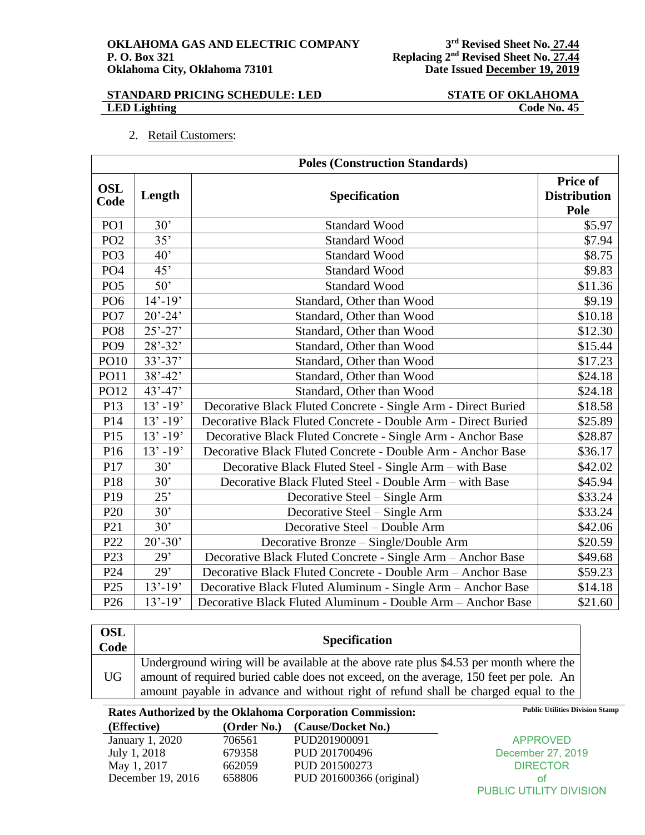### **STANDARD PRICING SCHEDULE: LED STATE OF OKLAHOMA LED Lighting Code No. 45**

|  | <b>Retail Customers:</b> |
|--|--------------------------|
|  |                          |

| <b>Poles (Construction Standards)</b> |             |                                                               |                                                |  |  |
|---------------------------------------|-------------|---------------------------------------------------------------|------------------------------------------------|--|--|
| <b>OSL</b><br>Code                    | Length      | Specification                                                 | <b>Price of</b><br><b>Distribution</b><br>Pole |  |  |
| PO <sub>1</sub>                       | 30'         | <b>Standard Wood</b>                                          | \$5.97                                         |  |  |
| PO <sub>2</sub>                       | 35'         | <b>Standard Wood</b>                                          | \$7.94                                         |  |  |
| PO <sub>3</sub>                       | 40'         | <b>Standard Wood</b>                                          | \$8.75                                         |  |  |
| PO <sub>4</sub>                       | 45'         | <b>Standard Wood</b>                                          | \$9.83                                         |  |  |
| PO <sub>5</sub>                       | 50'         | <b>Standard Wood</b>                                          | \$11.36                                        |  |  |
| PO <sub>6</sub>                       | $14' - 19'$ | Standard, Other than Wood                                     | \$9.19                                         |  |  |
| PO7                                   | $20' - 24'$ | Standard, Other than Wood                                     | \$10.18                                        |  |  |
| PO <sub>8</sub>                       | $25' - 27'$ | Standard, Other than Wood                                     | \$12.30                                        |  |  |
| PO <sub>9</sub>                       | $28' - 32'$ | Standard, Other than Wood                                     | \$15.44                                        |  |  |
| PO10                                  | $33' - 37'$ | Standard, Other than Wood                                     | \$17.23                                        |  |  |
| PO11                                  | $38' - 42'$ | Standard, Other than Wood                                     | \$24.18                                        |  |  |
| PO12                                  | $43' - 47'$ | Standard, Other than Wood                                     | \$24.18                                        |  |  |
| P13                                   | $13' - 19'$ | Decorative Black Fluted Concrete - Single Arm - Direct Buried | \$18.58                                        |  |  |
| P14                                   | $13' - 19'$ | Decorative Black Fluted Concrete - Double Arm - Direct Buried | \$25.89                                        |  |  |
| P15                                   | $13' - 19'$ | Decorative Black Fluted Concrete - Single Arm - Anchor Base   | \$28.87                                        |  |  |
| P16                                   | $13' - 19'$ | Decorative Black Fluted Concrete - Double Arm - Anchor Base   | \$36.17                                        |  |  |
| P17                                   | 30'         | Decorative Black Fluted Steel - Single Arm – with Base        | \$42.02                                        |  |  |
| P18                                   | 30'         | Decorative Black Fluted Steel - Double Arm - with Base        | \$45.94                                        |  |  |
| P19                                   | 25'         | Decorative Steel – Single Arm                                 | \$33.24                                        |  |  |
| P <sub>20</sub>                       | 30'         | Decorative Steel - Single Arm                                 | \$33.24                                        |  |  |
| P <sub>21</sub>                       | 30'         | Decorative Steel - Double Arm                                 | \$42.06                                        |  |  |
| P22                                   | $20' - 30'$ | Decorative Bronze - Single/Double Arm                         | \$20.59                                        |  |  |
| P <sub>23</sub>                       | 29'         | Decorative Black Fluted Concrete - Single Arm - Anchor Base   | \$49.68                                        |  |  |
| P <sub>24</sub>                       | 29'         | Decorative Black Fluted Concrete - Double Arm - Anchor Base   | \$59.23                                        |  |  |
| P <sub>25</sub>                       | $13'-19'$   | Decorative Black Fluted Aluminum - Single Arm - Anchor Base   | \$14.18                                        |  |  |
| P <sub>26</sub>                       | $13' - 19'$ | Decorative Black Fluted Aluminum - Double Arm - Anchor Base   | \$21.60                                        |  |  |

| <b>OSL</b><br>Code | <b>Specification</b>                                                                                                                                                                                                                                                    |
|--------------------|-------------------------------------------------------------------------------------------------------------------------------------------------------------------------------------------------------------------------------------------------------------------------|
| <b>UG</b>          | Underground wiring will be available at the above rate plus \$4.53 per month where the<br>amount of required buried cable does not exceed, on the average, 150 feet per pole. An<br>amount payable in advance and without right of refund shall be charged equal to the |

Rates Authorized by the Oklahoma Corporation Commission: Public Utilities Division Stamp

| (Effective)       | (Order No.) | (Cause/Docket No.)       |                                |
|-------------------|-------------|--------------------------|--------------------------------|
| January 1, 2020   | 706561      | PUD201900091             | <b>APPROVED</b>                |
| July 1, 2018      | 679358      | PUD 201700496            | December 27, 2019              |
| May 1, 2017       | 662059      | PUD 201500273            | <b>DIRECTOR</b>                |
| December 19, 2016 | 658806      | PUD 201600366 (original) | ΩŤ                             |
|                   |             |                          | <b>PUBLIC UTILITY DIVISION</b> |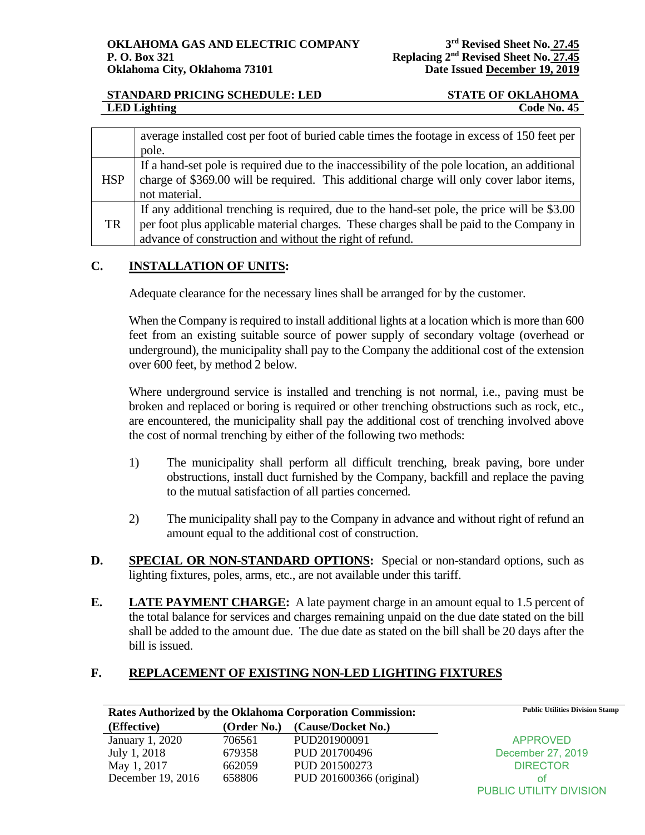# **STANDARD PRICING SCHEDULE: LED STATE OF OKLAHOMA LED Lighting Code No. 45**

|            | average installed cost per foot of buried cable times the footage in excess of 150 feet per<br>pole.                                                                                                                                                |
|------------|-----------------------------------------------------------------------------------------------------------------------------------------------------------------------------------------------------------------------------------------------------|
| <b>HSP</b> | If a hand-set pole is required due to the inaccessibility of the pole location, an additional<br>charge of \$369.00 will be required. This additional charge will only cover labor items,<br>not material.                                          |
| TR         | If any additional trenching is required, due to the hand-set pole, the price will be \$3.00<br>per foot plus applicable material charges. These charges shall be paid to the Company in<br>advance of construction and without the right of refund. |

# **C. INSTALLATION OF UNITS:**

Adequate clearance for the necessary lines shall be arranged for by the customer.

When the Company is required to install additional lights at a location which is more than 600 feet from an existing suitable source of power supply of secondary voltage (overhead or underground), the municipality shall pay to the Company the additional cost of the extension over 600 feet, by method 2 below.

Where underground service is installed and trenching is not normal, i.e., paving must be broken and replaced or boring is required or other trenching obstructions such as rock, etc., are encountered, the municipality shall pay the additional cost of trenching involved above the cost of normal trenching by either of the following two methods:

- 1) The municipality shall perform all difficult trenching, break paving, bore under obstructions, install duct furnished by the Company, backfill and replace the paving to the mutual satisfaction of all parties concerned.
- 2) The municipality shall pay to the Company in advance and without right of refund an amount equal to the additional cost of construction.
- **D. SPECIAL OR NON-STANDARD OPTIONS:** Special or non-standard options, such as lighting fixtures, poles, arms, etc., are not available under this tariff.
- **E. LATE PAYMENT CHARGE:** A late payment charge in an amount equal to 1.5 percent of the total balance for services and charges remaining unpaid on the due date stated on the bill shall be added to the amount due. The due date as stated on the bill shall be 20 days after the bill is issued.

# **F. REPLACEMENT OF EXISTING NON-LED LIGHTING FIXTURES**

| Rates Authorized by the Oklahoma Corporation Commission: |             | <b>Public Utilities Division Stamp</b> |                         |
|----------------------------------------------------------|-------------|----------------------------------------|-------------------------|
| (Effective)                                              | (Order No.) | (Cause/Docket No.)                     |                         |
| January 1, 2020                                          | 706561      | PUD201900091                           | <b>APPROVED</b>         |
| July 1, 2018                                             | 679358      | PUD 201700496                          | December 27, 2019       |
| May 1, 2017                                              | 662059      | PUD 201500273                          | <b>DIRECTOR</b>         |
| December 19, 2016                                        | 658806      | PUD 201600366 (original)               | ΩŤ                      |
|                                                          |             |                                        | PUBLIC UTILITY DIVISION |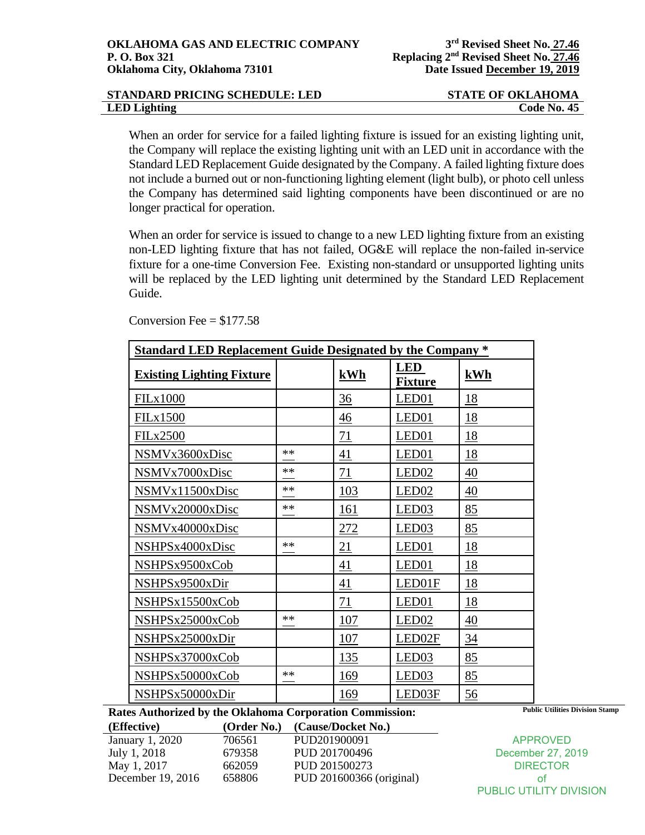| STANDARD PRICING SCHEDULE: LED | <b>STATE OF OKLAHOMA</b> |
|--------------------------------|--------------------------|
| <b>LED</b> Lighting            | Code No. 45              |

When an order for service for a failed lighting fixture is issued for an existing lighting unit, the Company will replace the existing lighting unit with an LED unit in accordance with the Standard LED Replacement Guide designated by the Company. A failed lighting fixture does not include a burned out or non-functioning lighting element (light bulb), or photo cell unless the Company has determined said lighting components have been discontinued or are no longer practical for operation.

When an order for service is issued to change to a new LED lighting fixture from an existing non-LED lighting fixture that has not failed, OG&E will replace the non-failed in-service fixture for a one-time Conversion Fee. Existing non-standard or unsupported lighting units will be replaced by the LED lighting unit determined by the Standard LED Replacement Guide.

| <b>Standard LED Replacement Guide Designated by the Company *</b> |      |            |                              |           |  |
|-------------------------------------------------------------------|------|------------|------------------------------|-----------|--|
| <b>Existing Lighting Fixture</b>                                  |      | kWh        | <b>LED</b><br><b>Fixture</b> | kWh       |  |
| <b>FILx1000</b>                                                   |      | 36         | LED01                        | 18        |  |
| <b>FILx1500</b>                                                   |      | 46         | LED01                        | <u>18</u> |  |
| <b>FILx2500</b>                                                   |      | 71         | LED01                        | 18        |  |
| NSMVx3600xDisc                                                    | **   | 41         | LED <sub>01</sub>            | 18        |  |
| NSMVx7000xDisc                                                    | **   | 71         | LED <sub>02</sub>            | 40        |  |
| NSMVx11500xDisc                                                   | **   | 103        | LED <sub>02</sub>            | 40        |  |
| NSMVx20000xDisc                                                   | **   | 161        | LED <sub>03</sub>            | 85        |  |
| NSMVx40000xDisc                                                   |      | 272        | LED <sub>03</sub>            | 85        |  |
| NSHPSx4000xDisc                                                   | **   | 21         | LED <sub>01</sub>            | 18        |  |
| NSHPSx9500xCob                                                    |      | 41         | LED01                        | 18        |  |
| NSHPSx9500xDir                                                    |      | 41         | LED01F                       | 18        |  |
| NSHPSx15500xCob                                                   |      | 71         | LED01                        | 18        |  |
| NSHPSx25000xCob                                                   | $**$ | 107        | LED <sub>02</sub>            | 40        |  |
| NSHPSx25000xDir                                                   |      | 107        | LED02F                       | 34        |  |
| NSHPSx37000xCob                                                   |      | 135        | LED <sub>03</sub>            | 85        |  |
| NSHPSx50000xCob                                                   | **   | 169        | LED <sub>03</sub>            | 85        |  |
| NSHPSx50000xDir                                                   |      | <u>169</u> | LED03F                       | 56        |  |

Conversion Fee  $= $177.58$ 

**Rates Authorized by the Oklahoma Corporation Commission:** Public Utilities Division Stamp

| (Effective)       | (Order No.) | (Cause/Docket No.)       |
|-------------------|-------------|--------------------------|
| January 1, 2020   | 706561      | PUD201900091             |
| July 1, 2018      | 679358      | PUD 201700496            |
| May 1, 2017       | 662059      | PUD 201500273            |
| December 19, 2016 | 658806      | PUD 201600366 (original) |

APPROVED December 27, 2019 **DIRECTOR** 

of PUBLIC UTILITY DIVISION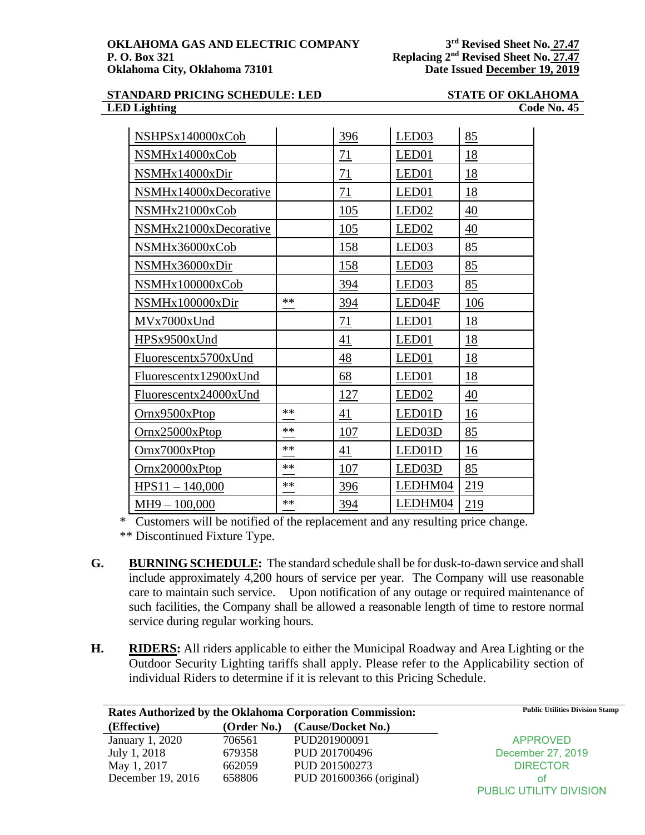**rd Revised Sheet No. 27.47 Replacing**  $2^{nd}$  **Revised** Sheet No. 27.47

### **STANDARD PRICING SCHEDULE: LED STATE OF OKLAHOMA LED Lighting Code No. 45**

| NSHPSx140000xCob      |      | 396        | LED <sub>03</sub> | 85        |
|-----------------------|------|------------|-------------------|-----------|
| NSMHx14000xCob        |      | 71         | LED <sub>01</sub> | 18        |
| NSMHx14000xDir        |      | 71         | LED <sub>01</sub> | 18        |
| NSMHx14000xDecorative |      | 71         | LED01             | 18        |
| NSMHx21000xCob        |      | 105        | LED <sub>02</sub> | 40        |
| NSMHx21000xDecorative |      | 105        | LED <sub>02</sub> | 40        |
| NSMHx36000xCob        |      | 158        | LED <sub>03</sub> | 85        |
| NSMHx36000xDir        |      | 158        | LED <sub>03</sub> | 85        |
| NSMHx100000xCob       |      | 394        | LED <sub>03</sub> | 85        |
| NSMHx100000xDir       | $**$ | 394        | LED04F            | 106       |
| MVx7000xUnd           |      | 71         | LED <sub>01</sub> | <u>18</u> |
| HPSx9500xUnd          |      | 41         | LED01             | 18        |
| Fluorescentx5700xUnd  |      | 48         | LED <sub>01</sub> | 18        |
| Fluorescentx12900xUnd |      | 68         | LED <sub>01</sub> | 18        |
| Fluorescentx24000xUnd |      | 127        | LED <sub>02</sub> | 40        |
| Ornx9500xPtop         | $**$ | 41         | LED01D            | 16        |
| <u>Ornx25000xPtop</u> | **   | <u>107</u> | LED03D            | 85        |
| Ornx7000xPtop         | $**$ | 41         | LED01D            | 16        |
| Ornx20000xPtop        | $**$ | 107        | LED03D            | 85        |
| $HPS11 - 140,000$     | $**$ | 396        | LEDHM04           | 219       |
| $MH9 - 100,000$       | $**$ | 394        | LEDHM04           | 219       |

\* Customers will be notified of the replacement and any resulting price change.

\*\* Discontinued Fixture Type.

- **G. BURNING SCHEDULE:** The standard schedule shall be for dusk-to-dawn service and shall include approximately 4,200 hours of service per year. The Company will use reasonable care to maintain such service. Upon notification of any outage or required maintenance of such facilities, the Company shall be allowed a reasonable length of time to restore normal service during regular working hours.
- **H. RIDERS:** All riders applicable to either the Municipal Roadway and Area Lighting or the Outdoor Security Lighting tariffs shall apply. Please refer to the Applicability section of individual Riders to determine if it is relevant to this Pricing Schedule.

| Rates Authorized by the Oklahoma Corporation Commission: |             | <b>Public Utilities Division Stamp</b> |                                |
|----------------------------------------------------------|-------------|----------------------------------------|--------------------------------|
| (Effective)                                              | (Order No.) | (Cause/Docket No.)                     |                                |
| January 1, 2020                                          | 706561      | PUD201900091                           | <b>APPROVED</b>                |
| July 1, 2018                                             | 679358      | PUD 201700496                          | December 27, 2019              |
| May 1, 2017                                              | 662059      | PUD 201500273                          | <b>DIRECTOR</b>                |
| December 19, 2016                                        | 658806      | PUD 201600366 (original)               | ΩŤ                             |
|                                                          |             |                                        | <b>PUBLIC UTILITY DIVISION</b> |